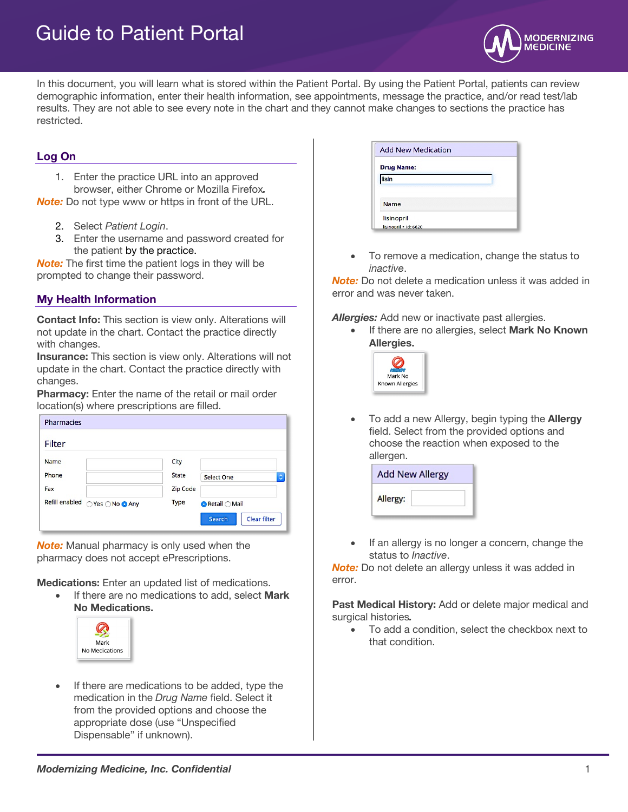# Guide to Patient Portal



In this document, you will learn what is stored within the Patient Portal. By using the Patient Portal, patients can review demographic information, enter their health information, see appointments, message the practice, and/or read test/lab results. They are not able to see every note in the chart and they cannot make changes to sections the practice has restricted.

## **Log On**

1. Enter the practice URL into an approved browser, either Chrome or Mozilla Firefox*.*

*Note:* Do not type www or https in front of the URL.

- 2. Select *Patient Login*.
- 3. Enter the username and password created for the patient by the practice.

*Note:* The first time the patient logs in they will be prompted to change their password.

## **My Health Information**

**Contact Info:** This section is view only. Alterations will not update in the chart. Contact the practice directly with changes.

**Insurance:** This section is view only. Alterations will not update in the chart. Contact the practice directly with changes.

**Pharmacy:** Enter the name of the retail or mail order location(s) where prescriptions are filled.

| Pharmacies                       |                                        |
|----------------------------------|----------------------------------------|
| <b>Filter</b>                    |                                        |
| Name                             | City                                   |
| Phone                            | <b>State</b><br><b>Select One</b><br>٥ |
| Fax                              | <b>Zip Code</b>                        |
| Refill enabled<br>○Yes ○No ● Any | <b>Type</b><br>● Retail ○ Mail         |
|                                  | Clear filter<br>Search                 |

*Note:* Manual pharmacy is only used when the pharmacy does not accept ePrescriptions.

**Medications:** Enter an updated list of medications.

• If there are no medications to add, select **Mark No Medications.** 



If there are medications to be added, type the medication in the *Drug Name* field. Select it from the provided options and choose the appropriate dose (use "Unspecified Dispensable" if unknown).

| <b>Drug Name:</b><br>lisin | <b>Add New Medication</b>           |  |
|----------------------------|-------------------------------------|--|
|                            |                                     |  |
|                            |                                     |  |
| <b>Name</b>                |                                     |  |
|                            | lisinopril<br>lisinopril - id: 6620 |  |

• To remove a medication, change the status to *inactive*.

*Note:* Do not delete a medication unless it was added in error and was never taken.

*Allergies:* Add new or inactivate past allergies.

• If there are no allergies, select **Mark No Known Allergies.**



• To add a new Allergy, begin typing the **Allergy** field. Select from the provided options and choose the reaction when exposed to the allergen.

| <b>Add New Allergy</b> |  |  |
|------------------------|--|--|
| Allergy:               |  |  |

If an allergy is no longer a concern, change the status to *Inactive*.

*Note:* Do not delete an allergy unless it was added in error.

**Past Medical History:** Add or delete major medical and surgical histories*.* 

• To add a condition, select the checkbox next to that condition.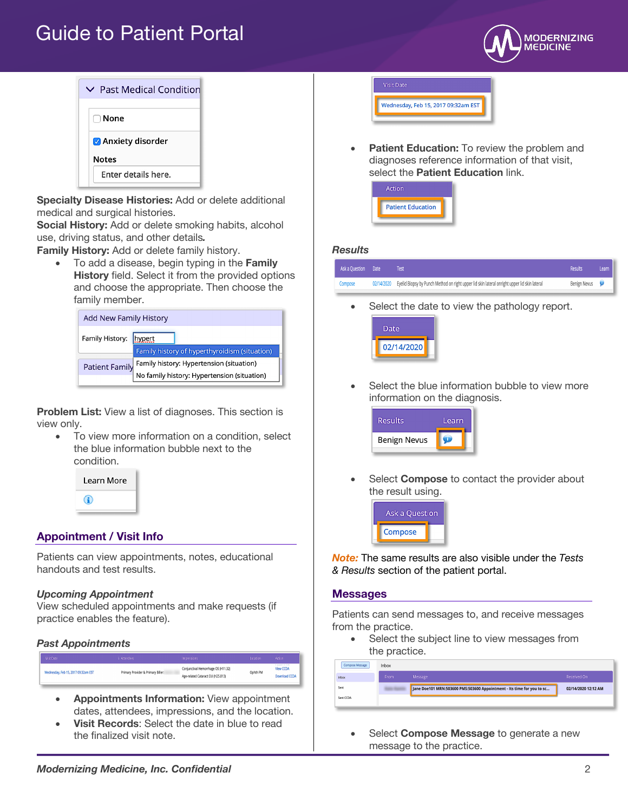## Guide to Patient Portal





**Specialty Disease Histories:** Add or delete additional medical and surgical histories.

**Social History:** Add or delete smoking habits, alcohol use, driving status, and other details*.*

**Family History:** Add or delete family history.

• To add a disease, begin typing in the **Family History** field. Select it from the provided options and choose the appropriate. Then choose the family member.

| <b>Add New Family History</b> |                                                                                         |  |
|-------------------------------|-----------------------------------------------------------------------------------------|--|
| Family History:               | hypert<br>Family history of hyperthyroidism (situation)                                 |  |
| <b>Patient Family</b>         | Family history: Hypertension (situation)<br>No family history: Hypertension (situation) |  |
|                               |                                                                                         |  |

**Problem List:** View a list of diagnoses. This section is view only.

To view more information on a condition, select the blue information bubble next to the condition.



## **Appointment / Visit Info**

Patients can view appointments, notes, educational handouts and test results.

#### *Upcoming Appointment*

View scheduled appointments and make requests (if practice enables the feature).

### *Past Appointments*

| Visit Date                          | Attendees                          | Impressions                                                              | Location | Action                                 |
|-------------------------------------|------------------------------------|--------------------------------------------------------------------------|----------|----------------------------------------|
| Wednesday, Feb 15, 2017 09:32am EST | Primary Provider & Primary Biller: | Conjunctival Hemorrhage OS (H11.32)<br>Age-related Cataract OU (H25.813) | Ophth PM | .<br><b>View CCDA</b><br>Download CCDA |

- **Appointments Information:** View appointment dates, attendees, impressions, and the location.
- **Visit Records**: Select the date in blue to read the finalized visit note.

**Visit Date** Wednesday, Feb 15, 2017 09:32am EST

**Patient Education:** To review the problem and diagnoses reference information of that visit, select the **Patient Education** link.



#### *Results*

| Ask a Question Date | Test                                                                                                    | Results      | Learn |
|---------------------|---------------------------------------------------------------------------------------------------------|--------------|-------|
| Compose             | 02/14/2020 Eyelid Biopsy by Punch Method on right upper lid skin lateral onright upper lid skin lateral | Benign Nevus |       |
|                     |                                                                                                         |              |       |

Select the date to view the pathology report.



Select the blue information bubble to view more information on the diagnosis.



Select **Compose** to contact the provider about the result using.



*Note:* The same results are also visible under the *Tests & Results* section of the patient portal.

#### **Messages**

Patients can send messages to, and receive messages from the practice.

• Select the subject line to view messages from the practice.

| Compose Message | Inbox |                                                                        |                     |
|-----------------|-------|------------------------------------------------------------------------|---------------------|
| Inbox           | From  | Message                                                                | Received On         |
| Sent            |       | Jane Doe101 MRN:503600 PMS:503600 Appointment - Its time for you to sc | 02/14/2020 12:12 AM |
| Sent CCDA       |       |                                                                        |                     |
|                 |       |                                                                        |                     |

• Select **Compose Message** to generate a new message to the practice.